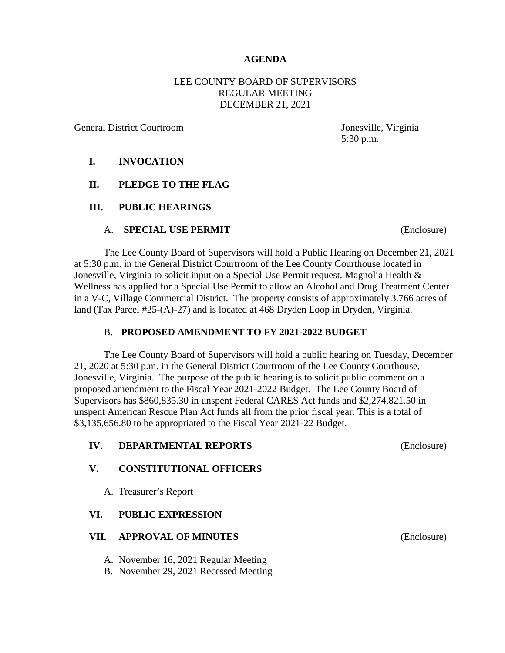### **AGENDA**

## LEE COUNTY BOARD OF SUPERVISORS REGULAR MEETING DECEMBER 21, 2021

General District Courtroom Jonesville, Virginia

5:30 p.m.

### **I. INVOCATION**

### **II. PLEDGE TO THE FLAG**

#### **III. PUBLIC HEARINGS**

#### A. **SPECIAL USE PERMIT** (Enclosure)

The Lee County Board of Supervisors will hold a Public Hearing on December 21, 2021 at 5:30 p.m. in the General District Courtroom of the Lee County Courthouse located in Jonesville, Virginia to solicit input on a Special Use Permit request. Magnolia Health & Wellness has applied for a Special Use Permit to allow an Alcohol and Drug Treatment Center in a V-C, Village Commercial District. The property consists of approximately 3.766 acres of land (Tax Parcel #25-(A)-27) and is located at 468 Dryden Loop in Dryden, Virginia.

#### B. **PROPOSED AMENDMENT TO FY 2021-2022 BUDGET**

The Lee County Board of Supervisors will hold a public hearing on Tuesday, December 21, 2020 at 5:30 p.m. in the General District Courtroom of the Lee County Courthouse, Jonesville, Virginia. The purpose of the public hearing is to solicit public comment on a proposed amendment to the Fiscal Year 2021-2022 Budget. The Lee County Board of Supervisors has \$860,835.30 in unspent Federal CARES Act funds and \$2,274,821.50 in unspent American Rescue Plan Act funds all from the prior fiscal year. This is a total of \$3,135,656.80 to be appropriated to the Fiscal Year 2021-22 Budget.

| IV.  | <b>DEPARTMENTAL REPORTS</b>           | (Enclosure) |
|------|---------------------------------------|-------------|
| V.   | <b>CONSTITUTIONAL OFFICERS</b>        |             |
|      | A. Treasurer's Report                 |             |
| VI.  | <b>PUBLIC EXPRESSION</b>              |             |
| VII. | <b>APPROVAL OF MINUTES</b>            | (Enclosure) |
|      | A. November 16, 2021 Regular Meeting  |             |
|      | B. November 29, 2021 Recessed Meeting |             |